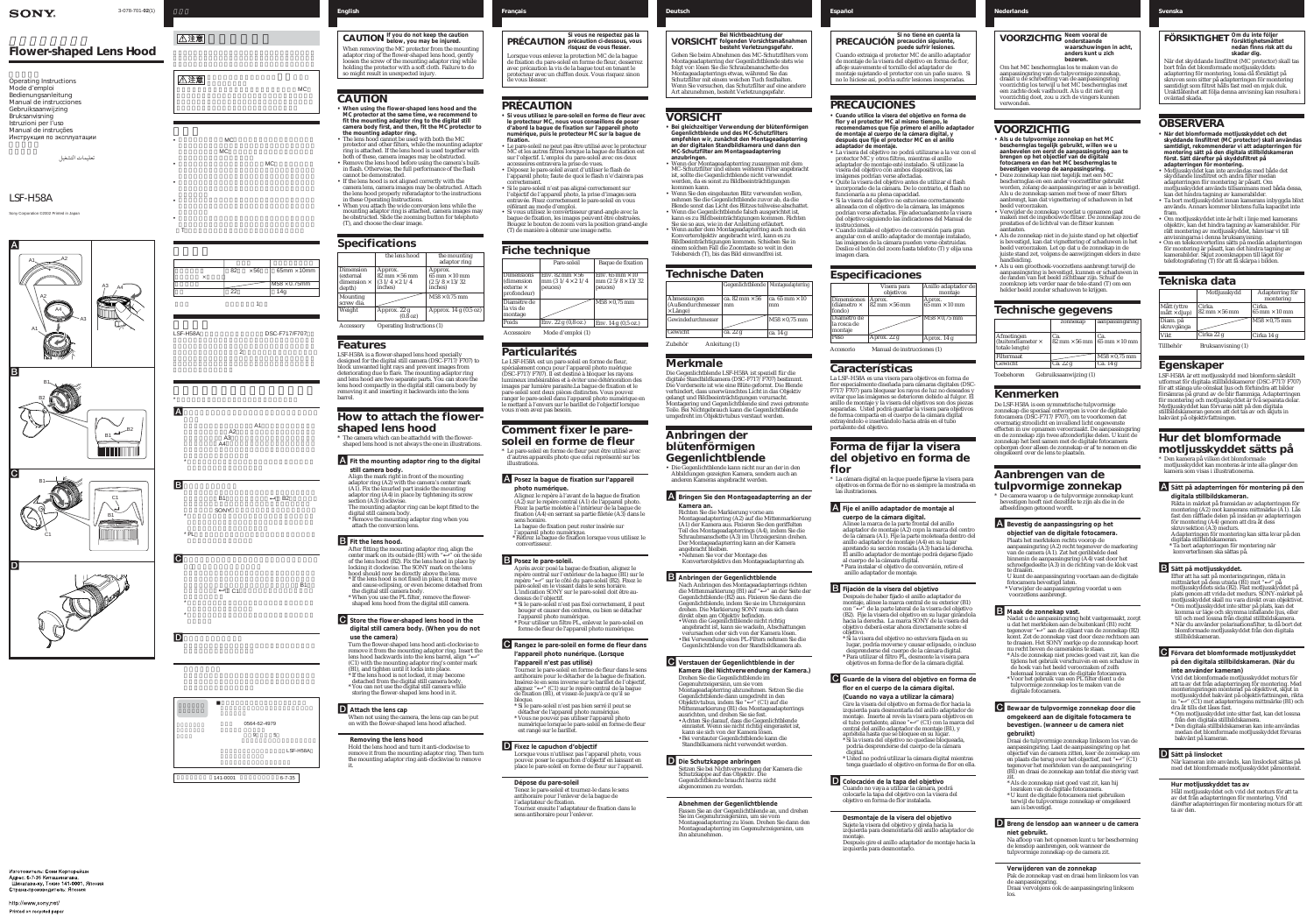### 3-078-701-**02**(1) *Français Deutsch Español Nederlands*

### *LSF-H58A*

Sony Corporation ©2002 Printed in Japa

#### **SONY**

## *Flower-shaped Lens Hood*

تعليمات التشغيل



• *• ア*  $T$  , and the set of the set of the set of the set of the set of the set of the set of the set of the set of the set of the set of the set of the set of the set of the set of the set of the set of the set of the set of th

|          | 82 | $\times 56$ | $65$ mm $\times$ 10mm |
|----------|----|-------------|-----------------------|
| $\times$ |    |             |                       |
|          |    |             | $M58 \times 0.75$ mm  |
|          | 22 |             | 14 <sub>0</sub>       |
|          |    |             |                       |
|          |    |             |                       |
|          |    |             |                       |









### **日本語** *English*

### **CAUTION**

- **When using the flower-shaped lens hood and the MC protector at the same time, we recommend to fit the mounting adaptor ring to the digital still camera body first, and then, fit the MC protector to the mounting adaptor ring.**
- The lens hood cannot be used with both the MC protector and other filters, while the mounting adaptor ring is attached. If the lens hood is used together with both of these, camera images may be obstructed.
- Remove the lens hood before using the camera's builtin flash. Otherwise, the full performance of the flash cannot be demonstrated. • If the lens hood is not aligned correctly with the
- camera lens, camera images may be obstructed. Attach the lens hood properly referadaptor to the instructions in these Operating Instructions.
- When you attach the wide conversion lens while the mounting adaptor ring is attached, camera images may be obstructed. Slide the zooming button for telephoto (T), and choose the clear image.

#### **Specifications**

#### **Features**

LSF-H58A is a flower-shaped lens hood specially designed for the digital still camera (DSC-F717/F707) to block unwanted light rays and prevent images from deteriorating due to flare. The mounting adaptor ring and lens hood are two separate parts. You can store the lens hood compactly in the digital still camera body by removing it and inserting it backwards into the lens barrel.

#### **How to attach the flowershaped lens hood**

\* The camera which can be attachdd with the flowershaped lens hood is not always the one in illustrations.

- A**Fit the mounting adaptor ring to the digital still camera body.**
- Align the mark right in front of the mounting adaptor ring (A2) with the camera's center mark (A1). Fix the knurled part inside the mounting adaptor ring (A4) in place by tightening its screw
- section (A3) clockwise. The mounting adaptor ring can be kept fitted to the digital still camera body.
- Remove the mounting adaptor ring when you attach the conversion lens.

#### **B** Fit the lens hood.

Tournez le pare-soleil en forme de fleur dans le sens antihoraire pour le détacher de la bague de fixation. Insérez-le en sens inverse sur le barillet de l'objectif, alignez "←" (C1) sur le repère central de la bague

- After fitting the mounting adaptor ring, align the center mark on its outside  $(B1)$  with " $\leftarrow$ " on the side of the lens hood (B2). Fix the lens hood in place by locking it clockwise. The SONY mark on the lens
- hood should now be directly above the lens. \* If the lens hood is not fixed in place, it may move
- and cause eclipsing, or even become detached from the digital still camera body. \* When you use the PL filter, remove the flowershaped lens hood from the digital still camera.
- C**Store the flower-shaped lens hood in the digital still camera body. (When you do not**
- **use the camera)** Turn the flower-shaped lens hood anti-clockwise to remove it from the mounting adaptor ring. Insert the lens hood backwards into the lens barrel, align "←" (C1) with the mounting adaptor ring's center mark (B1), and tighten until it locks into place.
- \* If the lens hood is not locked, it may become detached from the digital still camera body. \* You can not use the digital still camera while storing the flower-shaped lens hood in it.

#### **DAttach the lens cap**

- When not using the camera, the lens cap can be put on with the flower-shaped lens hood attached.
- **Removing the lens hood**

Hold the lens hood and turn it anti-clockwise to remove it from the mounting adaptor ring. Then turn the mounting adaptor ring anti-clockwise to remove it.

*Svenska*

avec précaution la vis de la bague tout en tenant le de vous blesser.

### **PRÉCAUTION**

**• Si vous utilisez le pare-soleil en forme de fleur avec**

• Le pare-soleil ne peut pas être utilisé avec le protecteur • Déposez le pare-soleil avant d'utiliser le flash de

- **le protecteur MC, nous vous conseillons de poser d'abord la bague de fixation sur l'appareil photo numérique, puis le protecteur MC sur la bague de fixation.**
- MC et les autres filtres lorsque la bague de fixation est sur l'objectif. L'emploi du pare-soleil avec ces deux accessoires entravera la prise de vues.
- l'appareil photo; faute de quoi le flash n'e'clairera pas correctement. • Si le pare-soleil n'est pas aligné correctement sur
- l'objectif de l'appareil photo, la prise d'images sera entravée. Fixez correctement le pare-soleil en vous référant au mode d'emploi. • Si vous utilisez le convertisseur grand-angle avec la
- (T) de manière à obtenir une image nette.

bague de fixation, les images peuvent être obstruées. Bougez le bouton de zoom vers la position grand-angle

### **Particularités**

Le LSF-H58A est un pare-soleil en forme de fleur, spécialement conçu pour l'appareil photo nuérique (DSC-F717/F707). Il est destiné à bloquer les rayons lumineux imdésirables et à éviter une détérioration des images par lumière parasite.La bague de fixation et le pare-soleil sont deux pièces distinctes. Vous pouvez ranger le pare-soleil dans l'appareil photo numérique en le mettant à l'envers sur le barillet de l'objectif lorsque vous n'een avez pas besoin.

## **Comment fixer le pare-**

# **soleil en forme de fleur**

\* Le pare-soleil en forme de fleur peut être utilisé avec d'autres appareils photo que celui représenté sur les

illustrations.

A**Posez la bague de fixation sur l'appareil**

Alignez le repère à l'avant de la bague de fixation (A2) sur le repère central (A1) de l'appareil photo. Fixez la partie moletée à l'intérieur de la bague de

- A**Fije el anillo adaptador de montaje al**
- **cuerpo de la cámara digital.** Alinee la marca de la parte frontal del anillo adaptador de montaje (A2) copn la marca del centro de la cámara (A1). Fije la parte moleteada dentro del anillo adaptador de montaje (A4) en su lugar apretando su sección roscada (A3) hacia la derecha. El anillo adaptador de montaje podrá dejarse fijado al cuerpo de la cámara digital. \* Para instalar el objetivo de conversión, retire el anillo adaptador de montaj
- **photo numérique.** fixation (A4) en serrant sa partie filetée (A3) dans le sens horaire. La bague de fixation peut rester insérée sur
- l'appareil photo numérique. \* Retirez la bague de fixation lorsque vous utilisez le convertisseur.

# **B** Posez le pare-soleil.

Après avoir posé la bague de fixation, alignez le repère central sur l'extérieur de la bague (B1) sur le repère " $\leftarrow$ " sur le côté du pare-soleil (B2). Fixez le L'indication SONY sur le pare-soleil doit être au-

\* Si le pare-soleil n'est pas fixé correctement, il peut bouger et causer des ombres, ou bien se détacher

\* Pour utiliser un filtre PL, enlevez le pare-soleil en forme de fleur de l'appareil photo numérique.

C**Rangez le pare-soleil en forme de fleur dans**

- pare-soleil en le vissant dans le sens horaire. dessus de l'objectif.
- l'appareil photo numérique.
- 
- **l'appareil photo nunérique. (Lorsque l'appareil n'est pas utilisé)**
- de fixation (B1), et vissez-le jusqu'à ce qu'il se bloque.
- \* Si le pare-soleil n'est pas bien serré il peut se détacher de l'appareil photo numérique. \* Vous ne pouvez pas utiliser l'appareil photo
- est rangé sur le barillet.

numérique lorsque le pare-soleil en forme de fleur

D**Fixez le capuchon d'objectif** Lorsque vous n'utilisez pas l'appareil photo, vous pouvez poser le capuchon d'objectif en laissant en place le pare-soleil en forme de fleur sur l'appareil.

**Dépose du pare-soleil** Tenez le pare-soleil et tournez-le dans le sens antihoraire pour l'enlever de la bague de l'adaptateur de fixation. Tournez ensuite l'adaptateur de fixation dans le sens antihoraire pour l'enlever.

Изготовитель: Сони Корпорейшн Адрес: 6-7-35 Киташинагава. Шинагава-ку, Токио 141-0001, Япония Страна-производитель: Япония

## **VORSICHT**

- **• Bei gleichzeitiger Verwendung der blütenförmigen Gegenlichtblende und des MC-Schutzfilters empfehlen wir, zunächst den Montageadapterring an der digitalen Standbildkamera und dann den MC-Schutzfilter am Montageadapterring**
- **anzubringen.** • Wenn der Montageadapterring zusammen mit dem MC-Schutzfilter und einem weiteren Filter angebracht ist, sollte die Gegenlichtblende nicht verwendet werden, da es sonst zu Bildbeeinträchtigungen kommen kann.
- Wenn Sie den eingebauten Blitz verwenden wollen, nehmen Sie die Gegenlichtblende zuvor ab, da die
- Blende sonst das Licht des Blitzes teilweise abschattet. • Wenn die Gegenlichtblende falsch ausgerichtet ist,
- kann es zu Bildbeeinträchtigungen kommen. Richten Sie sie so aus, wie in der Anleitung erläutert. • Wenn außer dem Montageadapterring auch noch ein Konverterobjektiv angebracht wird, kann es zu Bildbeeinträchtigungen kommen. Schieben Sie in einem solchen Fall die Zoomtaste so weit in den
- Telebereich (T), bis das Bild einwandfrei ist.

#### **Merkmale**

Die Gegenlichtblende LSF-H58A ist speziell für die digitale Standbildkamera (DSC-F717/F707) bestimmt. Die Vorderseite ist wie eine Blüte geformt. Die Blende verhindert, dass unerwünschtes Licht in das Objektiv gelangt und Bildbeeinträchtigungen verursacht. Montagering und Gegenlichtblende sind zwei getrennte Teile. Bei Nichtgebrauch kann die Gegenlichtblende umgedreht im Objektivtubus verstaut werden.

## **Anbringen der blütenförmigen Gegenlichtblende**

• Die Gegenlichtblende kann nicht nur an der in den Abbildungen gezeigten Kamera, sondern auch an anderen Kameras angebracht werden.

A**Bringen Sie den Montageadapterring an der Kamera an.**

Richten Sie die Markierung vorne am Montageadapterring (A2) auf die Mittenmarkierung (A1) der Kamera aus. Fixieren Sie den geriffelten Teil des Montageadapterrings (A4), indem Sie die Schraubmanschette (A3) im Uhrzeigersinn drehen. Der Montageadapterring kann an der Kamera angebracht bleiben. •Nehmen Sie vor der Montage des

Konverterobjektivs den Montageadapterring ab.

#### **B** Anbringen der Gegenlichtblende

Ta bort adapterringen för montering när konverterlinsen ska sättas på.

Nach Anbringen des Montageadapterrings richten die Mittenmarkierung (B1) auf "←" an der Seite der Gegenlichtblende (B2) aus. Fixieren Sie dann die Gegenlichtblende, indem Sie sie im Uhrzeigersinn drehen. Die Markierung SONY muss sich dann direkt oben am Objektiv befinden. •Wenn die Gegenlichtblende nicht richtig angebracht ist, kann sie wackeln, Abschattungen verursachen oder sich von der Kamera lösen. •Bei Verwendung eines PL-Filters nehmen Sie die Gegenlichtblende von der Standbildkamera ab.

#### C**Verstauen der Gegenlichtblende in der Kamera (Bei Nichtverwendung der Kamera.)** Drehen Sie die Gegenlichtblende im Gegenuhrzeigersinn, um sie vom Montageadapterring abzunehmen. Setzen Sie die Gegenlichtblende dann umgedreht in den Objektivtubus, indem Sie " $\leftrightarrow$ " (C1) auf die Mittenmarkierung (B1) des Montageadapterrings ausrichten, und drehen Sie sie fest. •Achten Sie darauf, dass die Gegenlichtblende

**CAUTION** If you do not keep the caution<br>CAUTION below, you may be injured. When removing the MC protector from the mounting adaptor ring of the flower-shaped lens hood, gently loosen the screw of the mounting adaptor ring while holding the protector with a soft cloth. Failure to do so might result in unexpected injury. **below, you may be injured.**

> einrastet. Wenn sie nicht richtig eingerastet ist, kann sie sich von der Kamera lösen. •Bei verstauter Gegenlichtblende kann die Standbilkamera nicht verwendet werden. D**Die Schutzkappe anbringen**

Setzen Sie bei Nichtverwendung der Kamera die Schutzkappe auf das Objektiv. Die Gegenlichtblende braucht hierzu nicht abgenommen zu werden.

**Abnehmen der Gegenlichtblende** Fassen Sie an der Gegenlichtblende an, und drehen Sie im Gegenuhrzeigersinn, um sie vom Montageadapterring zu lösen. Drehen Sie dann den Montageadapterring im Gegenuhrzeigersinn, um ihn abzunehmen.

Cuando extraiga el protector MC de anillo adaptador de montaje de la visera del objetivo en forma de flor, afloje suavemente el tornillo del adaptador de montaje sujetando el protector con un paño suave. Si no lo hiciese así, podría sufrir lesiones inesperadas.

## **PRECAUCIONES**

- **• Cuando utilice la visera del objetivo en forma de flor y el protector MC al mismo tiempo, le recomendamos que fije primero el anillo adaptador de montaje al cuerpo de la cámara digital, y después que fije el protector MC en el anillo**
- **adaptador de montaje.** • La visera del objetivo no podrá utilizarse a la vez con el protector MC y otros filtros, mientras el anillo adaptador de montaje esté instalado. Si utilizase la visera del objetivo con ambos dispositivos, las
- imágenes podrían verse afectadas. • Quite la visera del objetivo antes de utilizar el flash incorporado de la cámara. De lo contrario, el flash no funcionaría a su plena capacidad.
- Si la visera del objetivo no estuviese correctamente alineada con el objetivo de la cámara, las imágenes podrían verse afectadas. Fije adecuadamente la visera del objetivo siguiendo las indicaciones del Manual de instrucciones
- Cuando instale el objetivo de conversión para gran angular con el anillo adaptador de montaje instalado, las imágenes de la cámara pueden verse obstruidas. Deslice el botón del zoom hasta telefoto (T) y elija una imagen clara.

### **Especificaciones**

**Características**

|                                                                | the lens hood                                                                      | the mounting<br>adaptor ring                                        |
|----------------------------------------------------------------|------------------------------------------------------------------------------------|---------------------------------------------------------------------|
| Dimension<br><i>(external)</i><br>dimension $\times$<br>depth) | Approx.<br>$82 \text{ mm} \times 56 \text{ mm}$<br>$(31/4 \times 21/4)$<br>inches) | Approx.<br>65 mm $\times$ 10 mm<br>$(2\;5/8\times13/32)$<br>inches) |
| Mounting<br>screw dia.                                         |                                                                                    | $\rm M58 \times 0.75 \ mm$                                          |
| Weight                                                         | Approx. 22 g<br>$(0.8 \text{ oz})$                                                 | Approx. $14 g (0.5 oz)$                                             |
| Accessory                                                      | <b>Operating Instructions (1)</b>                                                  |                                                                     |

La LSF–H58A es una visera para objetivos en forma de flor especialmente diseñada para cámaras digitales (DSC-F717/F707) para bloquear los rayos de luz no deseados y evitar que las imágenes se deterioren debido al fulgor. El anillo de montaje y la visera del objetivos son dos piezas separadas. Usted podrá guardar la visera para objetivos de forma compacta en el cuerpo de la cámara digital extrayéndolo e insertándolo hacia atrás en el tubo portalente del objetivo.

### **Forma de fijar la visera del objetivo en forma de flor**

\* La cámara digital en la que puede fijarse la visera para objetivos en forma de flor no es siempre la mostrada en las ilustraciones.

**PRÉCAUTION précaution ci-dessous, vous** Lorsque vous enlevez la protection MC de la bague de fixation du pare-soleil en forme de fleur, desserrez protecteur avec un chiffon doux. Vous risquez sinon **Si vous ne respectez pas la risquez de vous flesser.**

> B**Fijación de la visera del objetivo** Después de haber fijado el anillo adaptador de montaje, alinee la marca central de su exterior (B1) con "3" de la parte lateral de la visera del objetivo (B2). Fije la visera del objetivo en su lugar girándola hacia la derecha. La marca SONY de la visera del objetivo deberá estar ahora directamente sobre el objetivo.

\* Si la visera del objetivo no estuviera fijada en su lugar, podría moverse y causar eclipsado, o incluso desprenderse del cuerpo de la cámara digital.  $^{\circ}$ Para utilizar el filtro PL, desmonte la visera para  $^{\circ}$ objetivos en forma de flor de la cámara digital.

C**Guarde de la visera del objetivo en forma de**

| Fiche technique                                                       |                                                              |                                                                        |  |  |
|-----------------------------------------------------------------------|--------------------------------------------------------------|------------------------------------------------------------------------|--|--|
|                                                                       | Pare-soleil                                                  | Baque de fixation                                                      |  |  |
| <b>Dimensions</b><br>(dimension<br>$ext{erne } \times$<br>profondeur) | Env. 82 mm $\times$ 56<br>mm $(31/4 \times 21/4)$<br>peuces) | Env. $65 \text{ mm} \times 10$<br>mm $(2.5/8 \times 13/32)$<br>peuces) |  |  |
| Diamètre de<br>la vis de<br>montage                                   |                                                              | $M58 \times 0.75$ mm                                                   |  |  |
| Poids                                                                 | Env. 22 g (0,8 oz.)                                          | Env. $14 g (0.5 oz.)$                                                  |  |  |
| Accessoire                                                            | Mode d'emploi (1)                                            |                                                                        |  |  |

**flor en el cuerpo de la cámara digital. (Cuando no vaya a utilizar la cámara)** Gire la visera del objetivo en forma de flor hacia la izquierda para desmontarla del anillo adaptador de montaje. Inserte al revés la visera para objetivos en el tubo portalente, alinee " $\leftarrow$ " (C1) con la marca del central del anillo adaptador de montaje (B1), y apriétela hasta que se bloquee en su lugar. \* Si la visera del objetivo no quedase bloqueada, podría desprenderse del cuerpo de la cámara

- digital. \* Usted no podrá utilizar la cámara digital mientras tenga guardado el objetivo en forma de flor en ella.
- D**Colocación de la tapa del objetivo** Cuando no vaya a utilizar la cámara, podrá colocarle la tapa del objetivo con la visera del objetivo en forma de flor instalada.

**Desmontaje de la visera del objetivo** Sujete la visera del objetivo y gírela hacia la izquierda para desmontarla del anillo adaptador de montaje.

Después gire el anillo adaptador de montaje hacia la izquierda para desmontarlo.

Om het MC beschermglas los te maken van de aanpassingsring van de tulpvormige zonnekap, draait u de schroefring van de aanpassingsring voorzichtig los terwijl u het MC beschermglas met een zachte doek vasthoudt. Als u dit niet erg voorzichtig doet, zou u zich de vingers kunnen verwonden.

**VORSICHT** Gehen Sie beim Abnehmen des MC-Schutzfilters vom Montageadapterring der Gegenlichtblende stets wie folgt vor: lösen Sie die Schraubmanschette des Montageadapterrings etwas, während Sie das Schutzfilter mit einem weichen Tuch festhalten. Wenn Sie versuchen, das Schutzfilter auf eine andere Art abzunehmen, besteht Verletzungsgefahr. **folgenden Vorsichtsmaßnahmen besteht Verletzungsgefahr.**

## **VOORZICHTIG**

- **• Als u de tulpvormige zonnekap en het MC beschermglas tegelijk gebruikt, willen we u aanbevelen om eerst de aanpassingsring aan te brengen op het objectief van de digitale fotocamera en dan het MC beschermglas te bevestigen voorop de aanpassingsring.**
- Deze zonnekap kan niet tegelijk met een MC beschermglas en een ander voorzetfilter gebruikt worden, zolang de aanpassingsring er aan is bevestigd. Als u de zonnekap samen met twee of meer filters aanbrengt, kan dat vignettering of schaduwen in het beeld veroorzaken.
- Verwijder de zonnekap voordat u opnamen gaat maken met de ingebouwde flitser. De zonnekap zou de prestaties of de lichtval van de flitser kunnen aantasten.
- Als de zonnekap niet in de juiste stand op het objectief is bevestigd, kan dat vignettering of schaduwen in het beeld veroorzaken. Let op dat u de zonnekap in de juiste stand zet, volgens de aanwijzingen elders in deze handleiding.
- Als u een groothoek-voorzetlens aanbrengt terwijl de aanpassingsring is bevestigd, kunnen er schaduwen in de randen van het beeld zichtbaar zijn. Schuif de zoomknop iets verder naar de tele-stand (T) om een helder beeld zonder schaduwen te krijgen.

|                                              | Gegenlichtblende   Montageadapterring |                             |
|----------------------------------------------|---------------------------------------|-----------------------------|
| Abmessungen<br>(Außendurchmesser<br>× Länge) | ca. 82 mm $\times$ 56<br>mm           | ca. 65 mm $\times$ 10<br>mm |
| Gewindedurchmesser                           |                                       | $\rm M58 \times 0.75 \ mm$  |
| Gewicht                                      | ca. 22 g                              | ca. 14 g                    |

#### **Technische gegevens**

Toebehoren Gebruiksaanwijzing (1)

#### **Kenmerken**

De LSF-H58A is een symmetrische tulpvormige zonnekap die speciaal ontworpen is voor de digitale fotocamera (DSC-F717/F707), om te voorkomen dat overmatig strooilicht en invallend licht ongewenste effecten in uw opnamen veroorzaakt. De aanpassingsring en de zonnekap zijn twee afzonderlijke delen. U kunt de zonnekap het best samen met de digitale fotocamera opbergen door alleen de zonnekap er af te nemen en die omgekeerd over de lens te plaatsen.

#### **Aanbrengen van de tulpvormige zonnekap**

\* De camera waarop u de tulpvormige zonnekap kunt bevestigen hoeft niet dezelfde te zijn als die in de afbeeldingen getoond wordt.

#### **PRECAUCIÓN precaución siguiente, Si no tiene en cuenta la puede sufrir lesiones.**

### A**Bevestig de aanpassingsring op het**

**objectief van de digitale fotocamera.** Plaats het merkteken rechts voorop de aanpassingsring (A2) recht tegenover de markering van de camera (A1). Zet het geribbelde deel binnenin de aanpassingsring (A4) vast door het schroefgedeelte (A3) in de richting van de klok vast te draaien.

U kunt de aanpassingsring voortaan aan de digitale fotocamera bevestigd laten. \* Verwijder de aanpassingsring voordat u een voorzetlens aanbrengt.

#### **B** Maak de zonnekap vast.

Nadat u de aanpassingsring hebt vastgemaakt, zorgt u dat het merkteken aan de buitenkant (B1) recht tegenover " $\leftarrow$ " aan de zijkant van de zonnekap (B2) komt. Zet de zonnekap vast door deze rechtsom aan te draaien. Het SONY merkje op de zonnekap hoort nu recht boven de cameralens te staan.

- \* Als de zonnekap niet precies goed vast zit, kan die tijdens het gebruik verschuiven en een schaduw in de hoek van het beeld veroorzaken of zelfs
- helemaal losraken van de digitale fotocamera.
- \* Voor het gebruik van een PL filter dient u de
- tulpvormige zonnekap los te maken van de digitale fotocamera.
- C**Bewaar de tulpvormige zonnekap door die omgekeerd aan de digitale fotocamera te bevestigen. (wanneer u de camera niet gebruikt)**

|                                                    | Visera para<br>objetivos                       | Anillo adaptador de<br>montaje                 |
|----------------------------------------------------|------------------------------------------------|------------------------------------------------|
| <b>Dimensiones</b><br>(diámetro $\times$<br>fondo) | Aprox.<br>$82 \text{ mm} \times 56 \text{ mm}$ | Aprox.<br>$65 \text{ mm} \times 10 \text{ mm}$ |
| Diámetro de<br>la rosca de<br>montaje              |                                                | $M58 \times 0.75$ mm                           |
| Peso                                               | Aprox. 22 g                                    | Aprox. 14 g                                    |
| Accesorio                                          | Manual de instrucciones (1)                    |                                                |

Draai de tulpvormige zonnekap linksom los van de aanpassingsring. Laat de aanpassingsring op het objectief van de camera zitten, keer de zonnekap om en plaats die terug over het objectief, met " $\leftarrow$ " (C1) tegenover het merkteken van de aanpassingsring (B1) en draai de zonnekap aan totdat die stevig vast zit.

- \* Als de zonnekap niet goed vast zit, kan hij
- losraken van de digitale fotocamera. \* U kunt de digitale fotocamera niet gebruiken terwijl de tulpvormige zonnekap er omgekeerd aan is bevestigd.
- D**Breng de lensdop aan wanneer u de camera niet gebruikt.** Na afloop van het opnemen kunt u ter bescherming

de lensdop aanbrengen, ook wanneer de tulpvormige zonnekap op de camera zit.

**Verwijderen van de zonnekap**

Pak de zonnekap vast en draai hem linksom los van

de aanpassingsring.

Draai vervolgens ook de aanpassingsring linksom

los.

#### **VOORZICHTIG onderstaande Neem vooral de waarschuwingen in acht, anders kunt u zich bezeren.**

bort från det blomformade motljusskyddets adapterring för montering, lossa då försiktigt på skruven som sitter på adapterringen för montering samtidigt som filtret hålls fast med en mjuk duk. Uraktlåtenhet att följa denna anvisning kan resultera i oväntad skada.

#### **OBSERVERA**

- **• När det blomformade motljusskyddet och det skyddande linsfiltret (MC protector) skall användas samtidigt, rekommenderar vi att adapterringen för montering sätt på den digitala stillbildskameran först. Sätt därefter på skyddsfiltret på adapterringen för montering.**
- Motljusskyddet kan inte användas med både det skyddande linsfiltret och andra filter medan adapterringen för montering är påsatt. Om motljusskyddet används tillsammans med båda dessa, kan det hindra tagning av kamerabilder.
- Ta bort motljusskyddet innan kamerans inbyggda blixt används. Annars kommer blixtens fulla kapacitet inte fram.
- Om motljusskyddet inte är helt i linje med kamerans objektiv, kan det hindra tagning av kamerabilder. För rätt montering av motljusskyddet, hänvisar vi till anvisningarna i denna bruksanvisning.
- Om en telekonverterlins sätts på medan adapterringen för montering är påsatt, kan det hindra tagning av kamerabilder. Skjut zoomknappen till läget för telefotografering (T) för att få skärpa i bilden.

#### **Egenskaper**

LSF-H58A är ett motljusskydd med blomform särskilt utformat för digitala stillbildskameror (DSC-F717/F707) för att stänga ute oönskat ljus och förhindra att bilder försämras på grund av de blir flammiga. Adapterringen för montering och motljusskyddet är två separata delar. Motljusskyddet kan förvaras nätt på den digitala stillbildskameran genom att det tas av och skjuts in bakvänt på objektivfattningen.

## **Hur det blomformade**

**motljusskyddet sätts på** \* Den kamera på vilken det blomformade motljusskyddet kan monteras är inte alla gånger den kamera som visas i illustrationerna.

A**Sätt på adapterringen för montering på den digitala stillbildskameran.** Rikta in märket på framsidan av adapterringen för montering (A2) mot kamerans mittmärke (A1). Lås fast den räfflade delen på insidan av adapterringen för montering (A4) genom att dra åt dess skruvsektion (A3) medurs. Adapterringen för montering kan sitta kvar på den digitala stillbildskameran.

**FÖRSIKTIGHET Om du inte följer** När det skyddande linsfiltret (MC protector) skall tas **försiktighetsmåttet nedan finns risk att du skadar dig.**

#### B**Sätt på motljusskyddet.**

Efter att ha satt på monteringsringen, rikta in mittmärket på dess utsida (B1) mot " $\leftrightarrow$ " på motljusskyddets sida (B2). Fäst motljusskyddet på plats genom att vrida det medurs. SONY-märket på motljusskyddet skall nu vara direkt ovan objektivet. \* Om motljusskyddet inte sitter på plats, kan det komma ur läge och skymma infallande ljus, eller

till och med lossna från digital stillbildskamera. \* När du använder polarisationsfilter, ta då bort det blomformade motljusskyddet från den digitala stillbildskameran.

C**Förvara det blomformade motljusskyddet på den digitala stillbildskameran. (När du inte använder kameran)** Vrid det blomformade motljusskyddet moturs för att ta av det från adapterringen för montering. Med monteringsringen monterad på objektivet, skjut in

motljusskyddet bakvänt på objektivfattningen, rikta in " $\leftarrow$ " (C1) mot adapterringens mittmärke (B1) och dra åt tills det låses fast. \* Om motljusskyddet inte sitter fast, kan det lossna

från den digitala stillbildskamera. \* Den digitala stillbildskameran kan inte användas medan det blomformade motljusskyddet förvaras bakvänt på kameran.

#### D**Sätt på linslocket**

| Tekniska data                  |                                                |                                                |  |  |
|--------------------------------|------------------------------------------------|------------------------------------------------|--|--|
|                                | Motljusskydd                                   | Adapterring för<br>montering                   |  |  |
| Mått (yttre<br>$m$ att × djup) | Cirka.<br>$82 \text{ mm} \times 56 \text{ mm}$ | Cirka.<br>$65 \text{ mm} \times 10 \text{ mm}$ |  |  |
| Diam. på<br>skruvgänga         |                                                | $M58 \times 0,75$ mm                           |  |  |
| Vikt                           | Cirka 22 g                                     | Cirka 14 g                                     |  |  |
| Tillbehör                      | Bruksanvisning (1)                             |                                                |  |  |

När kameran inte används, kan linslocket sättas på med det blomformade motljusskyddet påmonterat.

#### **Hur motljusskyddet tas av**

Håll motljusskyddet och vrid det moturs för att ta av det från adapterringen för montering. Vrid därefter adapterringen för montering moturs för att ta av den.



**Bei Nichtbeachtung der**

|                                                          | zonnekap                                                                 | aanpassingsring      |
|----------------------------------------------------------|--------------------------------------------------------------------------|----------------------|
| Afmetingen<br>(buitendiameter $\times$<br>totale lengte) | Ca.<br>$82 \text{ mm} \times 56 \text{ mm}$ 65 mm $\times 10 \text{ mm}$ | Ca.                  |
| Filtermaat                                               |                                                                          | $M58 \times 0,75$ mm |
| Gewicht                                                  | Ca. 22 g                                                                 | Ca. $14 g$           |
|                                                          |                                                                          |                      |